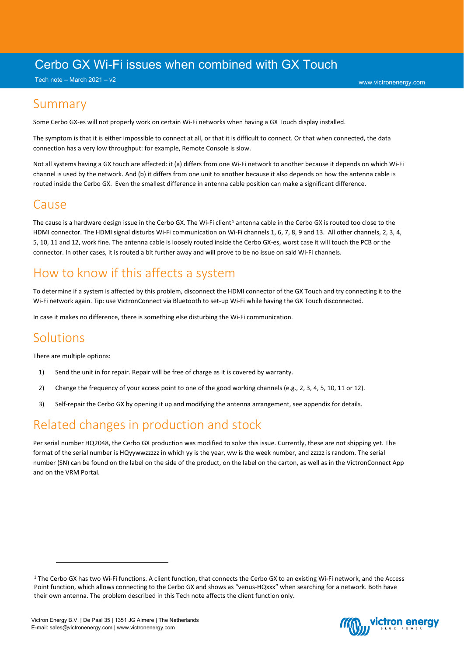## Cerbo GX Wi-Fi issues when combined with GX Touch

Tech note – March 2021 – v2

#### Summary

Some Cerbo GX-es will not properly work on certain Wi-Fi networks when having a GX Touch display installed.

The symptom is that it is either impossible to connect at all, or that it is difficult to connect. Or that when connected, the data connection has a very low throughput: for example, Remote Console is slow.

Not all systems having a GX touch are affected: it (a) differs from one Wi-Fi network to another because it depends on which Wi-Fi channel is used by the network. And (b) it differs from one unit to another because it also depends on how the antenna cable is routed inside the Cerbo GX. Even the smallest difference in antenna cable position can make a significant difference.

### Cause

The cause is a hardware design issue in the Cerbo GX. The Wi-Fi client<sup>[1](#page-0-0)</sup> antenna cable in the Cerbo GX is routed too close to the HDMI connector. The HDMI signal disturbs Wi-Fi communication on Wi-Fi channels 1, 6, 7, 8, 9 and 13. All other channels, 2, 3, 4, 5, 10, 11 and 12, work fine. The antenna cable is loosely routed inside the Cerbo GX-es, worst case it will touch the PCB or the connector. In other cases, it is routed a bit further away and will prove to be no issue on said Wi-Fi channels.

# How to know if this affects a system

To determine if a system is affected by this problem, disconnect the HDMI connector of the GX Touch and try connecting it to the Wi-Fi network again. Tip: use VictronConnect via Bluetooth to set-up Wi-Fi while having the GX Touch disconnected.

In case it makes no difference, there is something else disturbing the Wi-Fi communication.

### **Solutions**

There are multiple options:

- 1) Send the unit in for repair. Repair will be free of charge as it is covered by warranty.
- 2) Change the frequency of your access point to one of the good working channels (e.g., 2, 3, 4, 5, 10, 11 or 12).
- 3) Self-repair the Cerbo GX by opening it up and modifying the antenna arrangement, see appendix for details.

## Related changes in production and stock

Per serial number HQ2048, the Cerbo GX production was modified to solve this issue. Currently, these are not shipping yet. The format of the serial number is HQyywwzzzzz in which yy is the year, ww is the week number, and zzzzz is random. The serial number (SN) can be found on the label on the side of the product, on the label on the carton, as well as in the VictronConnect App and on the VRM Portal.



<span id="page-0-0"></span><sup>&</sup>lt;sup>1</sup> The Cerbo GX has two Wi-Fi functions. A client function, that connects the Cerbo GX to an existing Wi-Fi network, and the Access Point function, which allows connecting to the Cerbo GX and shows as "venus-HQxxx" when searching for a network. Both have their own antenna. The problem described in this Tech note affects the client function only.